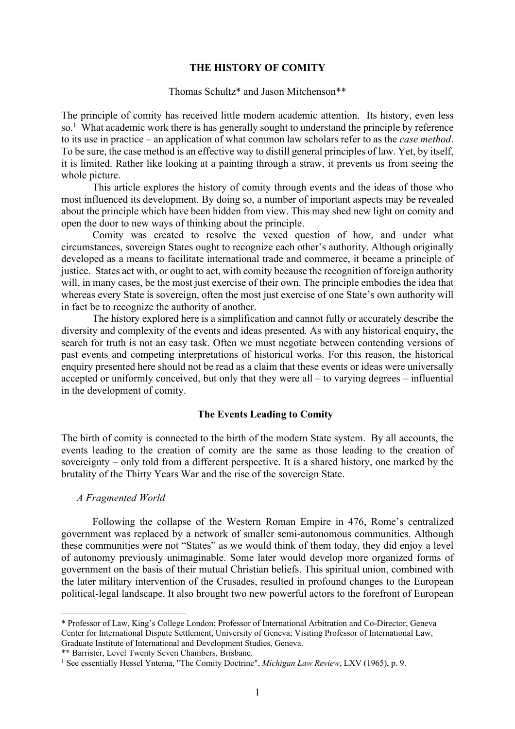### **THE HISTORY OF COMITY**

## Thomas Schultz\* and Jason Mitchenson\*\*

The principle of comity has received little modern academic attention. Its history, even less so.<sup>1</sup> What academic work there is has generally sought to understand the principle by reference to its use in practice – an application of what common law scholars refer to as the *case method*. To be sure, the case method is an effective way to distill general principles of law. Yet, by itself, it is limited. Rather like looking at a painting through a straw, it prevents us from seeing the whole picture.

This article explores the history of comity through events and the ideas of those who most influenced its development. By doing so, a number of important aspects may be revealed about the principle which have been hidden from view. This may shed new light on comity and open the door to new ways of thinking about the principle.

Comity was created to resolve the vexed question of how, and under what circumstances, sovereign States ought to recognize each other's authority. Although originally developed as a means to facilitate international trade and commerce, it became a principle of justice. States act with, or ought to act, with comity because the recognition of foreign authority will, in many cases, be the most just exercise of their own. The principle embodies the idea that whereas every State is sovereign, often the most just exercise of one State's own authority will in fact be to recognize the authority of another.

The history explored here is a simplification and cannot fully or accurately describe the diversity and complexity of the events and ideas presented. As with any historical enquiry, the search for truth is not an easy task. Often we must negotiate between contending versions of past events and competing interpretations of historical works. For this reason, the historical enquiry presented here should not be read as a claim that these events or ideas were universally accepted or uniformly conceived, but only that they were all – to varying degrees – influential in the development of comity.

# **The Events Leading to Comity**

The birth of comity is connected to the birth of the modern State system. By all accounts, the events leading to the creation of comity are the same as those leading to the creation of sovereignty – only told from a different perspective. It is a shared history, one marked by the brutality of the Thirty Years War and the rise of the sovereign State.

#### *A Fragmented World*

 $\overline{a}$ 

Following the collapse of the Western Roman Empire in 476, Rome's centralized government was replaced by a network of smaller semi-autonomous communities. Although these communities were not "States" as we would think of them today, they did enjoy a level of autonomy previously unimaginable. Some later would develop more organized forms of government on the basis of their mutual Christian beliefs. This spiritual union, combined with the later military intervention of the Crusades, resulted in profound changes to the European political-legal landscape. It also brought two new powerful actors to the forefront of European

\*\* Barrister, Level Twenty Seven Chambers, Brisbane.

<sup>\*</sup> Professor of Law, King's College London; Professor of International Arbitration and Co-Director, Geneva Center for International Dispute Settlement, University of Geneva; Visiting Professor of International Law, Graduate Institute of International and Development Studies, Geneva.

<sup>1</sup> See essentially Hessel Yntema, "The Comity Doctrine", *Michigan Law Review*, LXV (1965), p. 9.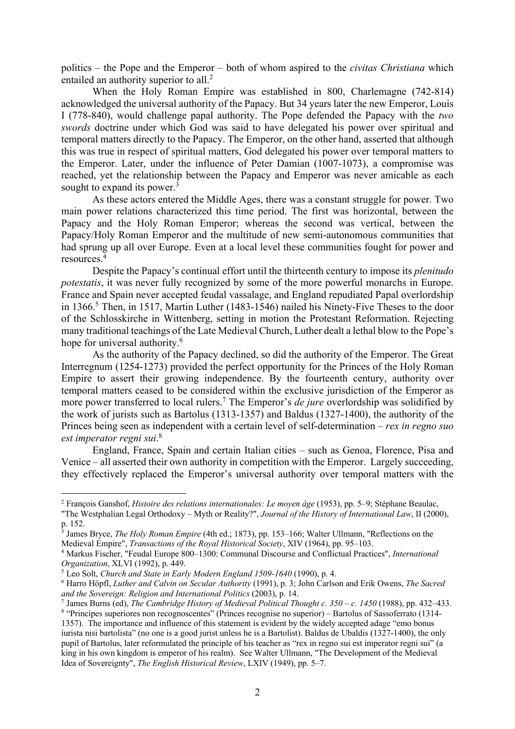politics – the Pope and the Emperor – both of whom aspired to the *civitas Christiana* which entailed an authority superior to all.<sup>2</sup>

When the Holy Roman Empire was established in 800, Charlemagne (742-814) acknowledged the universal authority of the Papacy. But 34 years later the new Emperor, Louis I (778-840), would challenge papal authority. The Pope defended the Papacy with the *two swords* doctrine under which God was said to have delegated his power over spiritual and temporal matters directly to the Papacy. The Emperor, on the other hand, asserted that although this was true in respect of spiritual matters, God delegated his power over temporal matters to the Emperor. Later, under the influence of Peter Damian (1007-1073), a compromise was reached, yet the relationship between the Papacy and Emperor was never amicable as each sought to expand its power. $3$ 

As these actors entered the Middle Ages, there was a constant struggle for power. Two main power relations characterized this time period. The first was horizontal, between the Papacy and the Holy Roman Emperor; whereas the second was vertical, between the Papacy/Holy Roman Emperor and the multitude of new semi-autonomous communities that had sprung up all over Europe. Even at a local level these communities fought for power and resources. 4

Despite the Papacy's continual effort until the thirteenth century to impose its *plenitudo potestatis*, it was never fully recognized by some of the more powerful monarchs in Europe. France and Spain never accepted feudal vassalage, and England repudiated Papal overlordship in 1366.<sup>5</sup> Then, in 1517, Martin Luther (1483-1546) nailed his Ninety-Five Theses to the door of the Schlosskirche in Wittenberg, setting in motion the Protestant Reformation. Rejecting many traditional teachings of the Late Medieval Church, Luther dealt a lethal blow to the Pope's hope for universal authority.<sup>6</sup>

As the authority of the Papacy declined, so did the authority of the Emperor. The Great Interregnum (1254-1273) provided the perfect opportunity for the Princes of the Holy Roman Empire to assert their growing independence. By the fourteenth century, authority over temporal matters ceased to be considered within the exclusive jurisdiction of the Emperor as more power transferred to local rulers. <sup>7</sup> The Emperor's *de jure* overlordship was solidified by the work of jurists such as Bartolus (1313-1357) and Baldus (1327-1400), the authority of the Princes being seen as independent with a certain level of self-determination – *rex in regno suo est imperator regni sui*. 8

England, France, Spain and certain Italian cities – such as Genoa, Florence, Pisa and Venice – all asserted their own authority in competition with the Emperor. Largely succeeding, they effectively replaced the Emperor's universal authority over temporal matters with the

<sup>2</sup> François Ganshof, *Histoire des relations internationales: Le moyen âge* (1953), pp. 5–9; Stéphane Beaulac,

<sup>&</sup>quot;The Westphalian Legal Orthodoxy – Myth or Reality?", *Journal of the History of International Law*, II (2000), p. 152.

<sup>&</sup>lt;sup>3</sup> James Bryce, *The Holy Roman Empire* (4th ed.; 1873), pp. 153–166; Walter Ullmann, "Reflections on the Medieval Empire", *Transactions of the Royal Historical Society*, XIV (1964), pp. 95–103.

<sup>4</sup> Markus Fischer, "Feudal Europe 800–1300: Communal Discourse and Conflictual Practices", *International Organization*, XLVI (1992), p. 449.

<sup>5</sup> Leo Solt, *Church and State in Early Modern England 1509-1640* (1990), p. 4.

<sup>6</sup> Harro Höpfl, *Luther and Calvin on Secular Authority* (1991), p. 3; John Carlson and Erik Owens, *The Sacred and the Sovereign: Religion and International Politics* (2003), p. 14.

<sup>7</sup> James Burns (ed), *The Cambridge History of Medieval Political Thought c. 350 – c. 1450* (1988), pp. 432–433. <sup>8</sup> "Principes superiores non recognoscentes" (Princes recognise no superior) – Bartolus of Sassoferrato (1314-

<sup>1357).</sup> The importance and influence of this statement is evident by the widely accepted adage "emo bonus íurista nisi bartolista" (no one is a good jurist unless he is a Bartolist). Baldus de Ubaldis (1327-1400), the only pupil of Bartolus, later reformulated the principle of his teacher as "rex in regno sui est imperator regni sui" (a king in his own kingdom is emperor of his realm). See Walter Ullmann, "The Development of the Medieval Idea of Sovereignty", *The English Historical Review*, LXIV (1949), pp. 5–7.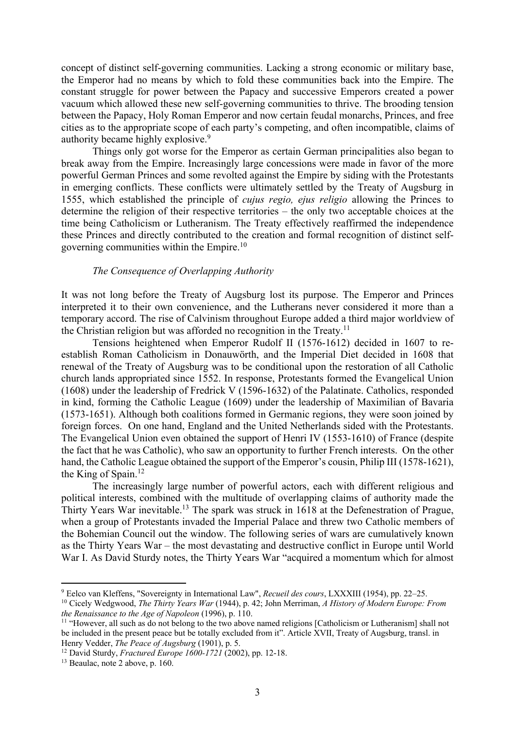concept of distinct self-governing communities. Lacking a strong economic or military base, the Emperor had no means by which to fold these communities back into the Empire. The constant struggle for power between the Papacy and successive Emperors created a power vacuum which allowed these new self-governing communities to thrive. The brooding tension between the Papacy, Holy Roman Emperor and now certain feudal monarchs, Princes, and free cities as to the appropriate scope of each party's competing, and often incompatible, claims of authority became highly explosive.<sup>9</sup>

Things only got worse for the Emperor as certain German principalities also began to break away from the Empire. Increasingly large concessions were made in favor of the more powerful German Princes and some revolted against the Empire by siding with the Protestants in emerging conflicts. These conflicts were ultimately settled by the Treaty of Augsburg in 1555, which established the principle of *cujus regio, ejus religio* allowing the Princes to determine the religion of their respective territories – the only two acceptable choices at the time being Catholicism or Lutheranism. The Treaty effectively reaffirmed the independence these Princes and directly contributed to the creation and formal recognition of distinct selfgoverning communities within the Empire.10

# *The Consequence of Overlapping Authority*

It was not long before the Treaty of Augsburg lost its purpose. The Emperor and Princes interpreted it to their own convenience, and the Lutherans never considered it more than a temporary accord. The rise of Calvinism throughout Europe added a third major worldview of the Christian religion but was afforded no recognition in the Treaty.<sup>11</sup>

Tensions heightened when Emperor Rudolf II (1576-1612) decided in 1607 to reestablish Roman Catholicism in Donauwörth, and the Imperial Diet decided in 1608 that renewal of the Treaty of Augsburg was to be conditional upon the restoration of all Catholic church lands appropriated since 1552. In response, Protestants formed the Evangelical Union (1608) under the leadership of Fredrick V (1596-1632) of the Palatinate. Catholics, responded in kind, forming the Catholic League (1609) under the leadership of Maximilian of Bavaria (1573-1651). Although both coalitions formed in Germanic regions, they were soon joined by foreign forces. On one hand, England and the United Netherlands sided with the Protestants. The Evangelical Union even obtained the support of Henri IV (1553-1610) of France (despite the fact that he was Catholic), who saw an opportunity to further French interests. On the other hand, the Catholic League obtained the support of the Emperor's cousin, Philip III (1578-1621), the King of Spain.12

The increasingly large number of powerful actors, each with different religious and political interests, combined with the multitude of overlapping claims of authority made the Thirty Years War inevitable.13 The spark was struck in 1618 at the Defenestration of Prague, when a group of Protestants invaded the Imperial Palace and threw two Catholic members of the Bohemian Council out the window. The following series of wars are cumulatively known as the Thirty Years War – the most devastating and destructive conflict in Europe until World War I. As David Sturdy notes, the Thirty Years War "acquired a momentum which for almost

<sup>9</sup> Eelco van Kleffens, "Sovereignty in International Law", *Recueil des cours*, LXXXIII (1954), pp. 22–25.

<sup>10</sup> Cicely Wedgwood, *The Thirty Years War* (1944), p. 42; John Merriman, *A History of Modern Europe: From the Renaissance to the Age of Napoleon* (1996), p. 110.

<sup>&</sup>lt;sup>11</sup> "However, all such as do not belong to the two above named religions [Catholicism or Lutheranism] shall not be included in the present peace but be totally excluded from it". Article XVII, Treaty of Augsburg, transl. in Henry Vedder, *The Peace of Augsburg* (1901), p. 5.

<sup>12</sup> David Sturdy, *Fractured Europe 1600-1721* (2002), pp. 12-18.

<sup>&</sup>lt;sup>13</sup> Beaulac, note 2 above, p. 160.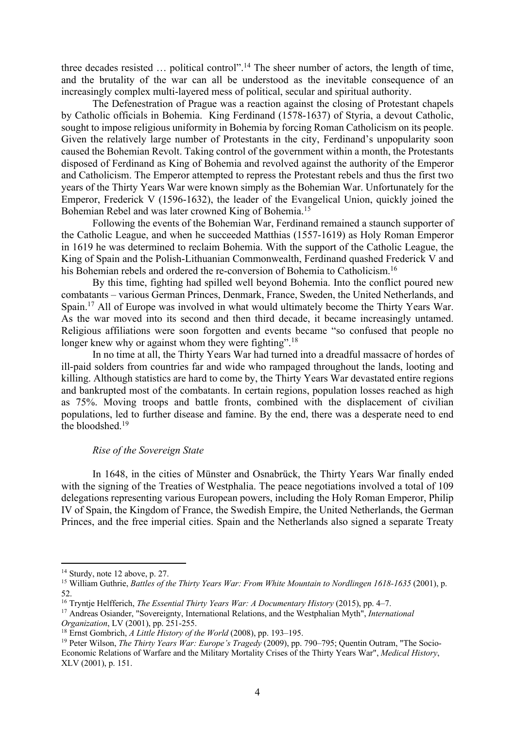three decades resisted ... political control".<sup>14</sup> The sheer number of actors, the length of time, and the brutality of the war can all be understood as the inevitable consequence of an increasingly complex multi-layered mess of political, secular and spiritual authority.

The Defenestration of Prague was a reaction against the closing of Protestant chapels by Catholic officials in Bohemia. King Ferdinand (1578-1637) of Styria, a devout Catholic, sought to impose religious uniformity in Bohemia by forcing Roman Catholicism on its people. Given the relatively large number of Protestants in the city, Ferdinand's unpopularity soon caused the Bohemian Revolt. Taking control of the government within a month, the Protestants disposed of Ferdinand as King of Bohemia and revolved against the authority of the Emperor and Catholicism. The Emperor attempted to repress the Protestant rebels and thus the first two years of the Thirty Years War were known simply as the Bohemian War. Unfortunately for the Emperor, Frederick V (1596-1632), the leader of the Evangelical Union, quickly joined the Bohemian Rebel and was later crowned King of Bohemia.15

Following the events of the Bohemian War, Ferdinand remained a staunch supporter of the Catholic League, and when he succeeded Matthias (1557-1619) as Holy Roman Emperor in 1619 he was determined to reclaim Bohemia. With the support of the Catholic League, the King of Spain and the Polish-Lithuanian Commonwealth, Ferdinand quashed Frederick V and his Bohemian rebels and ordered the re-conversion of Bohemia to Catholicism.<sup>16</sup>

By this time, fighting had spilled well beyond Bohemia. Into the conflict poured new combatants – various German Princes, Denmark, France, Sweden, the United Netherlands, and Spain.<sup>17</sup> All of Europe was involved in what would ultimately become the Thirty Years War. As the war moved into its second and then third decade, it became increasingly untamed. Religious affiliations were soon forgotten and events became "so confused that people no longer knew why or against whom they were fighting".<sup>18</sup>

In no time at all, the Thirty Years War had turned into a dreadful massacre of hordes of ill-paid solders from countries far and wide who rampaged throughout the lands, looting and killing. Although statistics are hard to come by, the Thirty Years War devastated entire regions and bankrupted most of the combatants. In certain regions, population losses reached as high as 75%. Moving troops and battle fronts, combined with the displacement of civilian populations, led to further disease and famine. By the end, there was a desperate need to end the bloodshed. 19

# *Rise of the Sovereign State*

In 1648, in the cities of Münster and Osnabrück, the Thirty Years War finally ended with the signing of the Treaties of Westphalia. The peace negotiations involved a total of 109 delegations representing various European powers, including the Holy Roman Emperor, Philip IV of Spain, the Kingdom of France, the Swedish Empire, the United Netherlands, the German Princes, and the free imperial cities. Spain and the Netherlands also signed a separate Treaty

<sup>&</sup>lt;sup>14</sup> Sturdy, note 12 above, p. 27.

<sup>15</sup> William Guthrie, *Battles of the Thirty Years War: From White Mountain to Nordlingen 1618-1635* (2001), p. 52.

<sup>16</sup> Tryntje Helfferich, *The Essential Thirty Years War: A Documentary History* (2015), pp. 4–7.

<sup>17</sup> Andreas Osiander, "Sovereignty, International Relations, and the Westphalian Myth", *International Organization*, LV (2001), pp. 251-255.

<sup>18</sup> Ernst Gombrich, *A Little History of the World* (2008), pp. 193–195.

<sup>19</sup> Peter Wilson, *The Thirty Years War: Europe's Tragedy* (2009), pp. 790–795; Quentin Outram, "The Socio-Economic Relations of Warfare and the Military Mortality Crises of the Thirty Years War", *Medical History*, XLV (2001), p. 151.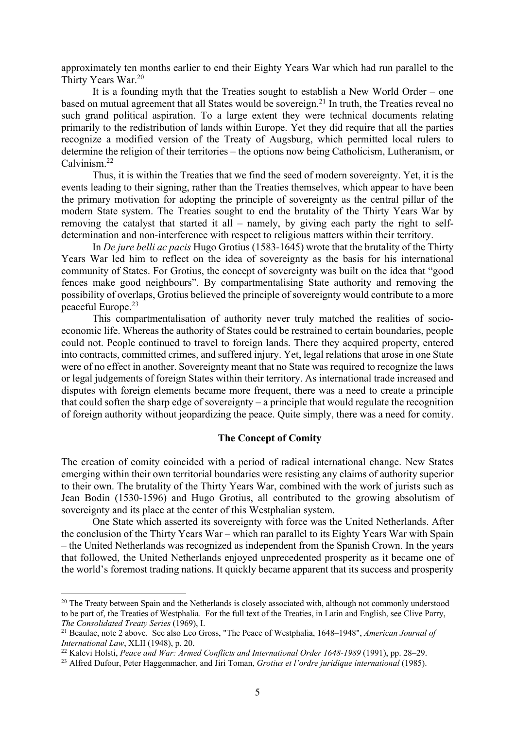approximately ten months earlier to end their Eighty Years War which had run parallel to the Thirty Years War.<sup>20</sup>

It is a founding myth that the Treaties sought to establish a New World Order – one based on mutual agreement that all States would be sovereign.<sup>21</sup> In truth, the Treaties reveal no such grand political aspiration. To a large extent they were technical documents relating primarily to the redistribution of lands within Europe. Yet they did require that all the parties recognize a modified version of the Treaty of Augsburg, which permitted local rulers to determine the religion of their territories – the options now being Catholicism, Lutheranism, or Calvinism.22

Thus, it is within the Treaties that we find the seed of modern sovereignty. Yet, it is the events leading to their signing, rather than the Treaties themselves, which appear to have been the primary motivation for adopting the principle of sovereignty as the central pillar of the modern State system. The Treaties sought to end the brutality of the Thirty Years War by removing the catalyst that started it all – namely, by giving each party the right to selfdetermination and non-interference with respect to religious matters within their territory.

In *De jure belli ac pacis* Hugo Grotius (1583-1645) wrote that the brutality of the Thirty Years War led him to reflect on the idea of sovereignty as the basis for his international community of States. For Grotius, the concept of sovereignty was built on the idea that "good fences make good neighbours". By compartmentalising State authority and removing the possibility of overlaps, Grotius believed the principle of sovereignty would contribute to a more peaceful Europe.23

This compartmentalisation of authority never truly matched the realities of socioeconomic life. Whereas the authority of States could be restrained to certain boundaries, people could not. People continued to travel to foreign lands. There they acquired property, entered into contracts, committed crimes, and suffered injury. Yet, legal relations that arose in one State were of no effect in another. Sovereignty meant that no State was required to recognize the laws or legal judgements of foreign States within their territory. As international trade increased and disputes with foreign elements became more frequent, there was a need to create a principle that could soften the sharp edge of sovereignty – a principle that would regulate the recognition of foreign authority without jeopardizing the peace. Quite simply, there was a need for comity.

### **The Concept of Comity**

The creation of comity coincided with a period of radical international change. New States emerging within their own territorial boundaries were resisting any claims of authority superior to their own. The brutality of the Thirty Years War, combined with the work of jurists such as Jean Bodin (1530-1596) and Hugo Grotius, all contributed to the growing absolutism of sovereignty and its place at the center of this Westphalian system.

One State which asserted its sovereignty with force was the United Netherlands. After the conclusion of the Thirty Years War – which ran parallel to its Eighty Years War with Spain – the United Netherlands was recognized as independent from the Spanish Crown. In the years that followed, the United Netherlands enjoyed unprecedented prosperity as it became one of the world's foremost trading nations. It quickly became apparent that its success and prosperity

<sup>&</sup>lt;sup>20</sup> The Treaty between Spain and the Netherlands is closely associated with, although not commonly understood to be part of, the Treaties of Westphalia. For the full text of the Treaties, in Latin and English, see Clive Parry, *The Consolidated Treaty Series* (1969), I.

<sup>21</sup> Beaulac, note 2 above. See also Leo Gross, "The Peace of Westphalia, 1648–1948", *American Journal of International Law*, XLII (1948), p. 20.

<sup>22</sup> Kalevi Holsti, *Peace and War: Armed Conflicts and International Order 1648-1989* (1991), pp. 28–29.

<sup>23</sup> Alfred Dufour, Peter Haggenmacher, and Jiri Toman, *Grotius et l'ordre juridique international* (1985).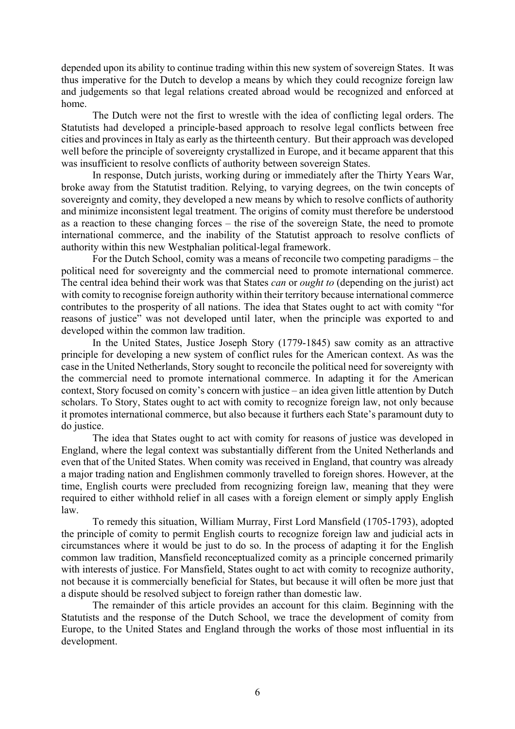depended upon its ability to continue trading within this new system of sovereign States. It was thus imperative for the Dutch to develop a means by which they could recognize foreign law and judgements so that legal relations created abroad would be recognized and enforced at home.

The Dutch were not the first to wrestle with the idea of conflicting legal orders. The Statutists had developed a principle-based approach to resolve legal conflicts between free cities and provinces in Italy as early as the thirteenth century. But their approach was developed well before the principle of sovereignty crystallized in Europe, and it became apparent that this was insufficient to resolve conflicts of authority between sovereign States.

In response, Dutch jurists, working during or immediately after the Thirty Years War, broke away from the Statutist tradition. Relying, to varying degrees, on the twin concepts of sovereignty and comity, they developed a new means by which to resolve conflicts of authority and minimize inconsistent legal treatment. The origins of comity must therefore be understood as a reaction to these changing forces – the rise of the sovereign State, the need to promote international commerce, and the inability of the Statutist approach to resolve conflicts of authority within this new Westphalian political-legal framework.

For the Dutch School, comity was a means of reconcile two competing paradigms – the political need for sovereignty and the commercial need to promote international commerce. The central idea behind their work was that States *can* or *ought to* (depending on the jurist) act with comity to recognise foreign authority within their territory because international commerce contributes to the prosperity of all nations. The idea that States ought to act with comity "for reasons of justice" was not developed until later, when the principle was exported to and developed within the common law tradition.

In the United States, Justice Joseph Story (1779-1845) saw comity as an attractive principle for developing a new system of conflict rules for the American context. As was the case in the United Netherlands, Story sought to reconcile the political need for sovereignty with the commercial need to promote international commerce. In adapting it for the American context, Story focused on comity's concern with justice – an idea given little attention by Dutch scholars. To Story, States ought to act with comity to recognize foreign law, not only because it promotes international commerce, but also because it furthers each State's paramount duty to do justice.

The idea that States ought to act with comity for reasons of justice was developed in England, where the legal context was substantially different from the United Netherlands and even that of the United States. When comity was received in England, that country was already a major trading nation and Englishmen commonly travelled to foreign shores. However, at the time, English courts were precluded from recognizing foreign law, meaning that they were required to either withhold relief in all cases with a foreign element or simply apply English law.

To remedy this situation, William Murray, First Lord Mansfield (1705-1793), adopted the principle of comity to permit English courts to recognize foreign law and judicial acts in circumstances where it would be just to do so. In the process of adapting it for the English common law tradition, Mansfield reconceptualized comity as a principle concerned primarily with interests of justice. For Mansfield, States ought to act with comity to recognize authority, not because it is commercially beneficial for States, but because it will often be more just that a dispute should be resolved subject to foreign rather than domestic law.

The remainder of this article provides an account for this claim. Beginning with the Statutists and the response of the Dutch School, we trace the development of comity from Europe, to the United States and England through the works of those most influential in its development.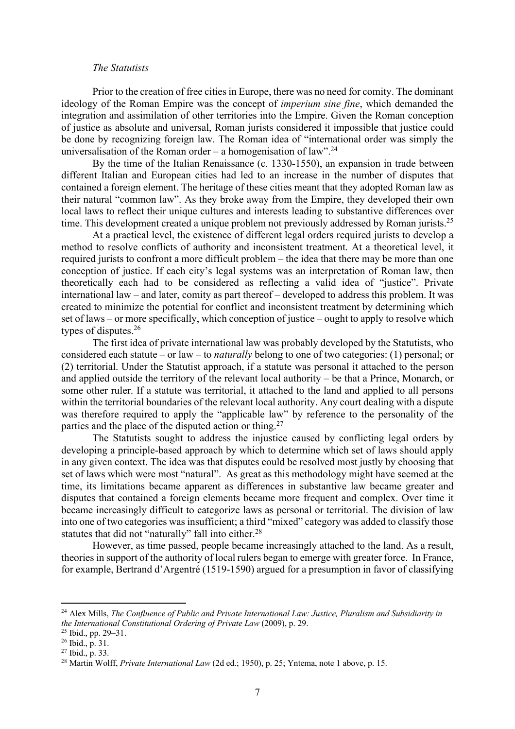#### *The Statutists*

Prior to the creation of free cities in Europe, there was no need for comity. The dominant ideology of the Roman Empire was the concept of *imperium sine fine*, which demanded the integration and assimilation of other territories into the Empire. Given the Roman conception of justice as absolute and universal, Roman jurists considered it impossible that justice could be done by recognizing foreign law. The Roman idea of "international order was simply the universalisation of the Roman order – a homogenisation of law".<sup>24</sup>

By the time of the Italian Renaissance (c. 1330-1550), an expansion in trade between different Italian and European cities had led to an increase in the number of disputes that contained a foreign element. The heritage of these cities meant that they adopted Roman law as their natural "common law". As they broke away from the Empire, they developed their own local laws to reflect their unique cultures and interests leading to substantive differences over time. This development created a unique problem not previously addressed by Roman jurists.<sup>25</sup>

At a practical level, the existence of different legal orders required jurists to develop a method to resolve conflicts of authority and inconsistent treatment. At a theoretical level, it required jurists to confront a more difficult problem – the idea that there may be more than one conception of justice. If each city's legal systems was an interpretation of Roman law, then theoretically each had to be considered as reflecting a valid idea of "justice". Private international law – and later, comity as part thereof – developed to address this problem. It was created to minimize the potential for conflict and inconsistent treatment by determining which set of laws – or more specifically, which conception of justice – ought to apply to resolve which types of disputes. 26

The first idea of private international law was probably developed by the Statutists, who considered each statute – or law – to *naturally* belong to one of two categories: (1) personal; or (2) territorial. Under the Statutist approach, if a statute was personal it attached to the person and applied outside the territory of the relevant local authority – be that a Prince, Monarch, or some other ruler. If a statute was territorial, it attached to the land and applied to all persons within the territorial boundaries of the relevant local authority. Any court dealing with a dispute was therefore required to apply the "applicable law" by reference to the personality of the parties and the place of the disputed action or thing.<sup>27</sup>

The Statutists sought to address the injustice caused by conflicting legal orders by developing a principle-based approach by which to determine which set of laws should apply in any given context. The idea was that disputes could be resolved most justly by choosing that set of laws which were most "natural". As great as this methodology might have seemed at the time, its limitations became apparent as differences in substantive law became greater and disputes that contained a foreign elements became more frequent and complex. Over time it became increasingly difficult to categorize laws as personal or territorial. The division of law into one of two categories was insufficient; a third "mixed" category was added to classify those statutes that did not "naturally" fall into either.<sup>28</sup>

However, as time passed, people became increasingly attached to the land. As a result, theories in support of the authority of local rulers began to emerge with greater force. In France, for example, Bertrand d'Argentré (1519-1590) argued for a presumption in favor of classifying

<sup>24</sup> Alex Mills, *The Confluence of Public and Private International Law: Justice, Pluralism and Subsidiarity in the International Constitutional Ordering of Private Law* (2009), p. 29.

<sup>25</sup> Ibid., pp. 29–31.

 $26$  Ibid., p. 31.

<sup>27</sup> Ibid., p. 33.

<sup>28</sup> Martin Wolff, *Private International Law* (2d ed.; 1950), p. 25; Yntema, note 1 above, p. 15.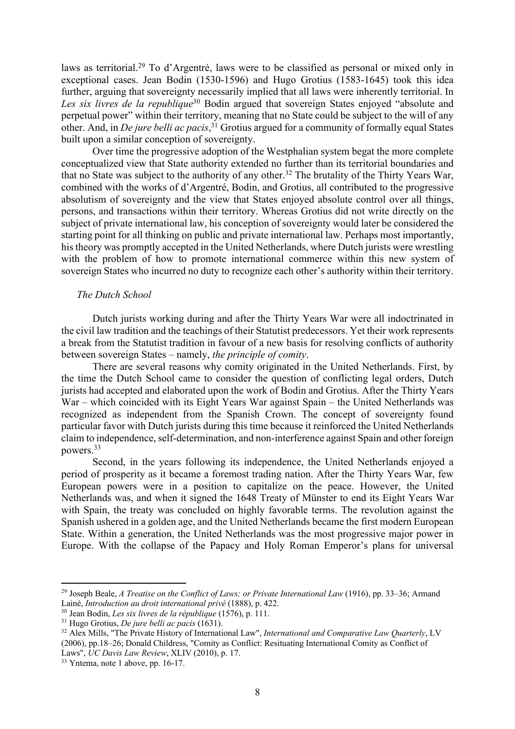laws as territorial.<sup>29</sup> To d'Argentré, laws were to be classified as personal or mixed only in exceptional cases. Jean Bodin (1530-1596) and Hugo Grotius (1583-1645) took this idea further, arguing that sovereignty necessarily implied that all laws were inherently territorial. In *Les six livres de la republique*<sup>30</sup> Bodin argued that sovereign States enjoyed "absolute and perpetual power" within their territory, meaning that no State could be subject to the will of any other. And, in *De jure belli ac pacis*, <sup>31</sup> Grotius argued for a community of formally equal States built upon a similar conception of sovereignty.

Over time the progressive adoption of the Westphalian system begat the more complete conceptualized view that State authority extended no further than its territorial boundaries and that no State was subject to the authority of any other.<sup>32</sup> The brutality of the Thirty Years War, combined with the works of d'Argentré, Bodin, and Grotius, all contributed to the progressive absolutism of sovereignty and the view that States enjoyed absolute control over all things, persons, and transactions within their territory. Whereas Grotius did not write directly on the subject of private international law, his conception of sovereignty would later be considered the starting point for all thinking on public and private international law. Perhaps most importantly, his theory was promptly accepted in the United Netherlands, where Dutch jurists were wrestling with the problem of how to promote international commerce within this new system of sovereign States who incurred no duty to recognize each other's authority within their territory.

### *The Dutch School*

Dutch jurists working during and after the Thirty Years War were all indoctrinated in the civil law tradition and the teachings of their Statutist predecessors. Yet their work represents a break from the Statutist tradition in favour of a new basis for resolving conflicts of authority between sovereign States – namely, *the principle of comity*.

There are several reasons why comity originated in the United Netherlands. First, by the time the Dutch School came to consider the question of conflicting legal orders, Dutch jurists had accepted and elaborated upon the work of Bodin and Grotius. After the Thirty Years War – which coincided with its Eight Years War against Spain – the United Netherlands was recognized as independent from the Spanish Crown. The concept of sovereignty found particular favor with Dutch jurists during this time because it reinforced the United Netherlands claim to independence, self-determination, and non-interference against Spain and other foreign powers. 33

Second, in the years following its independence, the United Netherlands enjoyed a period of prosperity as it became a foremost trading nation. After the Thirty Years War, few European powers were in a position to capitalize on the peace. However, the United Netherlands was, and when it signed the 1648 Treaty of Münster to end its Eight Years War with Spain, the treaty was concluded on highly favorable terms. The revolution against the Spanish ushered in a golden age, and the United Netherlands became the first modern European State. Within a generation, the United Netherlands was the most progressive major power in Europe. With the collapse of the Papacy and Holy Roman Emperor's plans for universal

<sup>29</sup> Joseph Beale, *A Treatise on the Conflict of Laws; or Private International Law* (1916), pp. 33–36; Armand Lainé, *Introduction au droit international privé* (1888), p. 422.

<sup>30</sup> Jean Bodin, *Les six livres de la république* (1576), p. 111.

<sup>31</sup> Hugo Grotius, *De jure belli ac pacis* (1631).

<sup>&</sup>lt;sup>32</sup> Alex Mills, "The Private History of International Law", *International and Comparative Law Quarterly*, LV (2006), pp.18–26; Donald Childress, "Comity as Conflict: Resituating International Comity as Conflict of Laws", *UC Davis Law Review*, XLIV (2010), p. 17.

<sup>&</sup>lt;sup>33</sup> Yntema, note 1 above, pp. 16-17.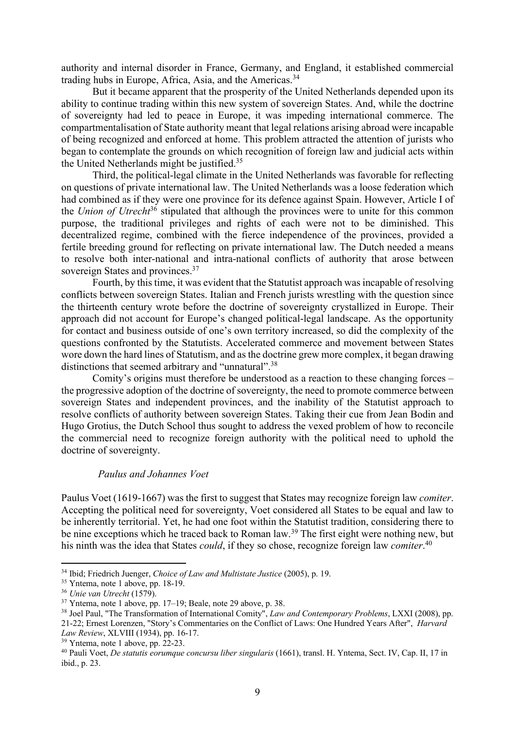authority and internal disorder in France, Germany, and England, it established commercial trading hubs in Europe, Africa, Asia, and the Americas.<sup>34</sup>

But it became apparent that the prosperity of the United Netherlands depended upon its ability to continue trading within this new system of sovereign States. And, while the doctrine of sovereignty had led to peace in Europe, it was impeding international commerce. The compartmentalisation of State authority meant that legal relations arising abroad were incapable of being recognized and enforced at home. This problem attracted the attention of jurists who began to contemplate the grounds on which recognition of foreign law and judicial acts within the United Netherlands might be justified.35

Third, the political-legal climate in the United Netherlands was favorable for reflecting on questions of private international law. The United Netherlands was a loose federation which had combined as if they were one province for its defence against Spain. However, Article I of the *Union of Utrecht*<sup>36</sup> stipulated that although the provinces were to unite for this common purpose, the traditional privileges and rights of each were not to be diminished. This decentralized regime, combined with the fierce independence of the provinces, provided a fertile breeding ground for reflecting on private international law. The Dutch needed a means to resolve both inter-national and intra-national conflicts of authority that arose between sovereign States and provinces.<sup>37</sup>

Fourth, by this time, it was evident that the Statutist approach was incapable of resolving conflicts between sovereign States. Italian and French jurists wrestling with the question since the thirteenth century wrote before the doctrine of sovereignty crystallized in Europe. Their approach did not account for Europe's changed political-legal landscape. As the opportunity for contact and business outside of one's own territory increased, so did the complexity of the questions confronted by the Statutists. Accelerated commerce and movement between States wore down the hard lines of Statutism, and as the doctrine grew more complex, it began drawing distinctions that seemed arbitrary and "unnatural".<sup>38</sup>

Comity's origins must therefore be understood as a reaction to these changing forces – the progressive adoption of the doctrine of sovereignty, the need to promote commerce between sovereign States and independent provinces, and the inability of the Statutist approach to resolve conflicts of authority between sovereign States. Taking their cue from Jean Bodin and Hugo Grotius, the Dutch School thus sought to address the vexed problem of how to reconcile the commercial need to recognize foreign authority with the political need to uphold the doctrine of sovereignty.

# *Paulus and Johannes Voet*

Paulus Voet (1619-1667) was the first to suggest that States may recognize foreign law *comiter*. Accepting the political need for sovereignty, Voet considered all States to be equal and law to be inherently territorial. Yet, he had one foot within the Statutist tradition, considering there to be nine exceptions which he traced back to Roman law.<sup>39</sup> The first eight were nothing new, but his ninth was the idea that States *could*, if they so chose, recognize foreign law *comiter*. 40

<sup>34</sup> Ibid; Friedrich Juenger, *Choice of Law and Multistate Justice* (2005), p. 19.

<sup>&</sup>lt;sup>35</sup> Yntema, note 1 above, pp. 18-19.

<sup>36</sup> *Unie van Utrecht* (1579).

<sup>37</sup> Yntema, note 1 above, pp. 17–19; Beale, note 29 above, p. 38.

<sup>38</sup> Joel Paul, "The Transformation of International Comity", *Law and Contemporary Problems*, LXXI (2008), pp. 21-22; Ernest Lorenzen, "Story's Commentaries on the Conflict of Laws: One Hundred Years After", *Harvard Law Review*, XLVIII (1934), pp. 16-17.

<sup>39</sup> Yntema, note 1 above, pp. 22-23.

<sup>40</sup> Pauli Voet, *De statutis eorumque concursu liber singularis* (1661), transl. H. Yntema, Sect. IV, Cap. II, 17 in ibid., p. 23.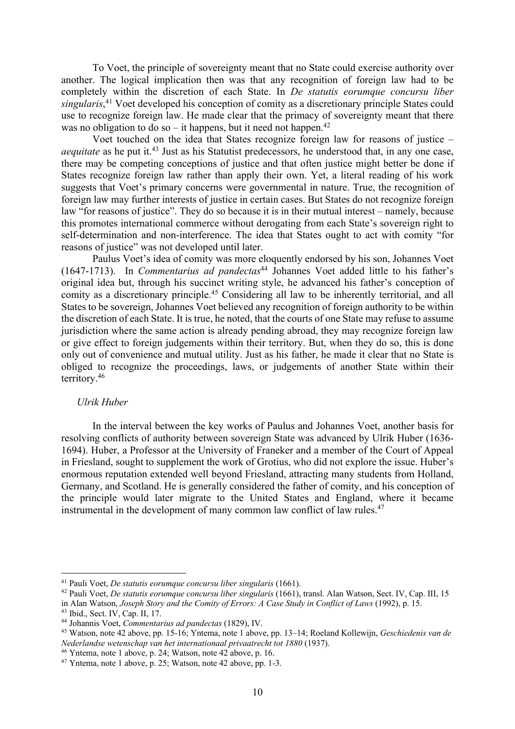To Voet, the principle of sovereignty meant that no State could exercise authority over another. The logical implication then was that any recognition of foreign law had to be completely within the discretion of each State. In *De statutis eorumque concursu liber singularis*, <sup>41</sup> Voet developed his conception of comity as a discretionary principle States could use to recognize foreign law. He made clear that the primacy of sovereignty meant that there was no obligation to do so – it happens, but it need not happen.<sup>42</sup>

Voet touched on the idea that States recognize foreign law for reasons of justice – *aequitate* as he put it.<sup>43</sup> Just as his Statutist predecessors, he understood that, in any one case, there may be competing conceptions of justice and that often justice might better be done if States recognize foreign law rather than apply their own. Yet, a literal reading of his work suggests that Voet's primary concerns were governmental in nature. True, the recognition of foreign law may further interests of justice in certain cases. But States do not recognize foreign law "for reasons of justice". They do so because it is in their mutual interest – namely, because this promotes international commerce without derogating from each State's sovereign right to self-determination and non-interference. The idea that States ought to act with comity "for reasons of justice" was not developed until later.

Paulus Voet's idea of comity was more eloquently endorsed by his son, Johannes Voet (1647-1713). In *Commentarius ad pandectas*<sup>44</sup> Johannes Voet added little to his father's original idea but, through his succinct writing style, he advanced his father's conception of comity as a discretionary principle.<sup>45</sup> Considering all law to be inherently territorial, and all States to be sovereign, Johannes Voet believed any recognition of foreign authority to be within the discretion of each State. It is true, he noted, that the courts of one State may refuse to assume jurisdiction where the same action is already pending abroad, they may recognize foreign law or give effect to foreign judgements within their territory. But, when they do so, this is done only out of convenience and mutual utility. Just as his father, he made it clear that no State is obliged to recognize the proceedings, laws, or judgements of another State within their territory. 46

# *Ulrik Huber*

In the interval between the key works of Paulus and Johannes Voet, another basis for resolving conflicts of authority between sovereign State was advanced by Ulrik Huber (1636- 1694). Huber, a Professor at the University of Franeker and a member of the Court of Appeal in Friesland, sought to supplement the work of Grotius, who did not explore the issue. Huber's enormous reputation extended well beyond Friesland, attracting many students from Holland, Germany, and Scotland. He is generally considered the father of comity, and his conception of the principle would later migrate to the United States and England, where it became instrumental in the development of many common law conflict of law rules. 47

<sup>41</sup> Pauli Voet, *De statutis eorumque concursu liber singularis* (1661).

<sup>42</sup> Pauli Voet, *De statutis eorumque concursu liber singularis* (1661), transl. Alan Watson, Sect. IV, Cap. III, 15 in Alan Watson, *Joseph Story and the Comity of Errors: A Case Study in Conflict of Laws* (1992), p. 15.

<sup>43</sup> Ibid., Sect. IV, Cap. II, 17.

<sup>44</sup> Johannis Voet, *Commentarius ad pandectas* (1829), IV.

<sup>45</sup> Watson, note 42 above, pp. 15-16; Yntema, note 1 above, pp. 13–14; Roeland Kollewijn, *Geschiedenis van de Nederlandse wetenschap van het internationaal privaatrecht tot 1880* (1937).

<sup>46</sup> Yntema, note 1 above, p. 24; Watson, note 42 above, p. 16.

 $47$  Yntema, note 1 above, p. 25; Watson, note 42 above, pp. 1-3.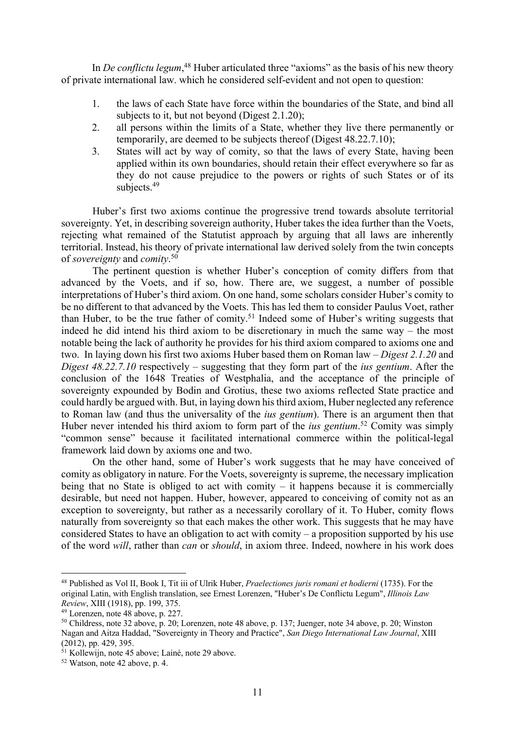In *De conflictu legum*,<sup>48</sup> Huber articulated three "axioms" as the basis of his new theory of private international law. which he considered self-evident and not open to question:

- 1. the laws of each State have force within the boundaries of the State, and bind all subjects to it, but not beyond (Digest 2.1.20);
- 2. all persons within the limits of a State, whether they live there permanently or temporarily, are deemed to be subjects thereof (Digest 48.22.7.10);
- 3. States will act by way of comity, so that the laws of every State, having been applied within its own boundaries, should retain their effect everywhere so far as they do not cause prejudice to the powers or rights of such States or of its subjects.<sup>49</sup>

Huber's first two axioms continue the progressive trend towards absolute territorial sovereignty. Yet, in describing sovereign authority, Huber takes the idea further than the Voets, rejecting what remained of the Statutist approach by arguing that all laws are inherently territorial. Instead, his theory of private international law derived solely from the twin concepts of *sovereignty* and *comity*. 50

The pertinent question is whether Huber's conception of comity differs from that advanced by the Voets, and if so, how. There are, we suggest, a number of possible interpretations of Huber's third axiom. On one hand, some scholars consider Huber's comity to be no different to that advanced by the Voets. This has led them to consider Paulus Voet, rather than Huber, to be the true father of comity.51 Indeed some of Huber's writing suggests that indeed he did intend his third axiom to be discretionary in much the same way – the most notable being the lack of authority he provides for his third axiom compared to axioms one and two. In laying down his first two axioms Huber based them on Roman law – *Digest 2.1.20* and *Digest 48.22.7.10* respectively – suggesting that they form part of the *ius gentium*. After the conclusion of the 1648 Treaties of Westphalia, and the acceptance of the principle of sovereignty expounded by Bodin and Grotius, these two axioms reflected State practice and could hardly be argued with. But, in laying down his third axiom, Huber neglected any reference to Roman law (and thus the universality of the *ius gentium*). There is an argument then that Huber never intended his third axiom to form part of the *ius gentium*. <sup>52</sup> Comity was simply "common sense" because it facilitated international commerce within the political-legal framework laid down by axioms one and two.

On the other hand, some of Huber's work suggests that he may have conceived of comity as obligatory in nature. For the Voets, sovereignty is supreme, the necessary implication being that no State is obliged to act with comity – it happens because it is commercially desirable, but need not happen. Huber, however, appeared to conceiving of comity not as an exception to sovereignty, but rather as a necessarily corollary of it. To Huber, comity flows naturally from sovereignty so that each makes the other work. This suggests that he may have considered States to have an obligation to act with comity – a proposition supported by his use of the word *will*, rather than *can* or *should*, in axiom three. Indeed, nowhere in his work does

<sup>48</sup> Published as Vol II, Book I, Tit iii of Ulrik Huber, *Praelectiones juris romani et hodierni* (1735). For the original Latin, with English translation, see Ernest Lorenzen, "Huber's De Conflictu Legum", *Illinois Law Review*, XIII (1918), pp. 199, 375.

<sup>49</sup> Lorenzen, note 48 above, p. 227.

<sup>50</sup> Childress, note 32 above, p. 20; Lorenzen, note 48 above, p. 137; Juenger, note 34 above, p. 20; Winston Nagan and Aitza Haddad, "Sovereignty in Theory and Practice", *San Diego International Law Journal*, XIII (2012), pp. 429, 395.

<sup>&</sup>lt;sup>51</sup> Kollewijn, note 45 above; Lainé, note 29 above.

<sup>52</sup> Watson, note 42 above, p. 4.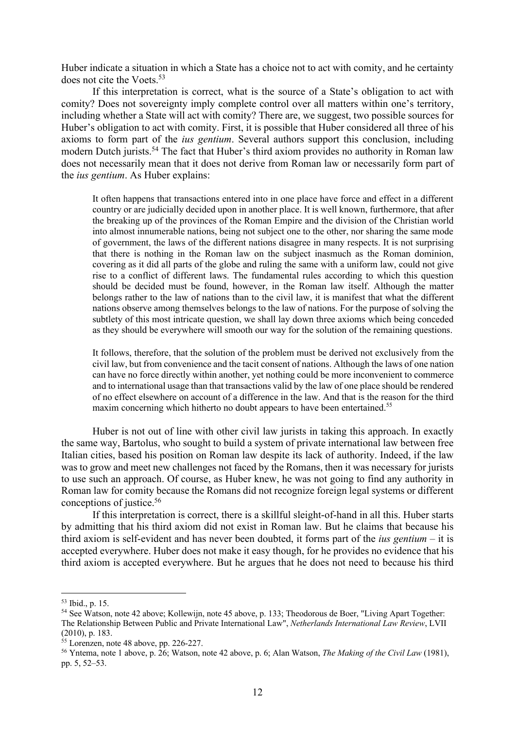Huber indicate a situation in which a State has a choice not to act with comity, and he certainty does not cite the Voets.<sup>53</sup>

If this interpretation is correct, what is the source of a State's obligation to act with comity? Does not sovereignty imply complete control over all matters within one's territory, including whether a State will act with comity? There are, we suggest, two possible sources for Huber's obligation to act with comity. First, it is possible that Huber considered all three of his axioms to form part of the *ius gentium*. Several authors support this conclusion, including modern Dutch jurists.<sup>54</sup> The fact that Huber's third axiom provides no authority in Roman law does not necessarily mean that it does not derive from Roman law or necessarily form part of the *ius gentium*. As Huber explains:

It often happens that transactions entered into in one place have force and effect in a different country or are judicially decided upon in another place. It is well known, furthermore, that after the breaking up of the provinces of the Roman Empire and the division of the Christian world into almost innumerable nations, being not subject one to the other, nor sharing the same mode of government, the laws of the different nations disagree in many respects. It is not surprising that there is nothing in the Roman law on the subject inasmuch as the Roman dominion, covering as it did all parts of the globe and ruling the same with a uniform law, could not give rise to a conflict of different laws. The fundamental rules according to which this question should be decided must be found, however, in the Roman law itself. Although the matter belongs rather to the law of nations than to the civil law, it is manifest that what the different nations observe among themselves belongs to the law of nations. For the purpose of solving the subtlety of this most intricate question, we shall lay down three axioms which being conceded as they should be everywhere will smooth our way for the solution of the remaining questions.

It follows, therefore, that the solution of the problem must be derived not exclusively from the civil law, but from convenience and the tacit consent of nations. Although the laws of one nation can have no force directly within another, yet nothing could be more inconvenient to commerce and to international usage than that transactions valid by the law of one place should be rendered of no effect elsewhere on account of a difference in the law. And that is the reason for the third maxim concerning which hitherto no doubt appears to have been entertained.<sup>55</sup>

Huber is not out of line with other civil law jurists in taking this approach. In exactly the same way, Bartolus, who sought to build a system of private international law between free Italian cities, based his position on Roman law despite its lack of authority. Indeed, if the law was to grow and meet new challenges not faced by the Romans, then it was necessary for jurists to use such an approach. Of course, as Huber knew, he was not going to find any authority in Roman law for comity because the Romans did not recognize foreign legal systems or different conceptions of justice. 56

If this interpretation is correct, there is a skillful sleight-of-hand in all this. Huber starts by admitting that his third axiom did not exist in Roman law. But he claims that because his third axiom is self-evident and has never been doubted, it forms part of the *ius gentium* – it is accepted everywhere. Huber does not make it easy though, for he provides no evidence that his third axiom is accepted everywhere. But he argues that he does not need to because his third

<sup>53</sup> Ibid., p. 15.

<sup>54</sup> See Watson, note 42 above; Kollewijn, note 45 above, p. 133; Theodorous de Boer, "Living Apart Together: The Relationship Between Public and Private International Law", *Netherlands International Law Review*, LVII (2010), p. 183.

 $\frac{55}{5}$  Lorenzen, note 48 above, pp. 226-227.

<sup>56</sup> Yntema, note 1 above, p. 26; Watson, note 42 above, p. 6; Alan Watson, *The Making of the Civil Law* (1981), pp. 5, 52–53.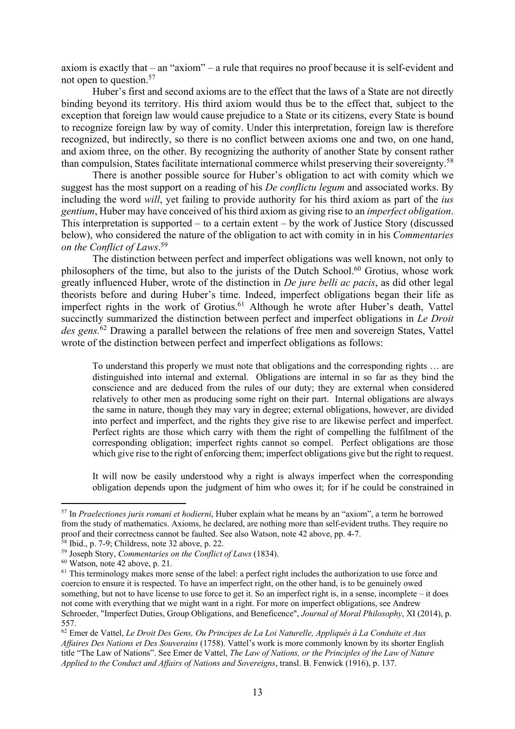axiom is exactly that – an "axiom" – a rule that requires no proof because it is self-evident and not open to question. 57

Huber's first and second axioms are to the effect that the laws of a State are not directly binding beyond its territory. His third axiom would thus be to the effect that, subject to the exception that foreign law would cause prejudice to a State or its citizens, every State is bound to recognize foreign law by way of comity. Under this interpretation, foreign law is therefore recognized, but indirectly, so there is no conflict between axioms one and two, on one hand, and axiom three, on the other. By recognizing the authority of another State by consent rather than compulsion, States facilitate international commerce whilst preserving their sovereignty.<sup>58</sup>

There is another possible source for Huber's obligation to act with comity which we suggest has the most support on a reading of his *De conflictu legum* and associated works. By including the word *will*, yet failing to provide authority for his third axiom as part of the *ius gentium*, Huber may have conceived of his third axiom as giving rise to an *imperfect obligation*. This interpretation is supported – to a certain extent – by the work of Justice Story (discussed below), who considered the nature of the obligation to act with comity in in his *Commentaries on the Conflict of Laws*. 59

The distinction between perfect and imperfect obligations was well known, not only to philosophers of the time, but also to the jurists of the Dutch School.<sup>60</sup> Grotius, whose work greatly influenced Huber, wrote of the distinction in *De jure belli ac pacis*, as did other legal theorists before and during Huber's time. Indeed, imperfect obligations began their life as imperfect rights in the work of Grotius.<sup>61</sup> Although he wrote after Huber's death, Vattel succinctly summarized the distinction between perfect and imperfect obligations in *Le Droit des gens.*<sup>62</sup> Drawing a parallel between the relations of free men and sovereign States, Vattel wrote of the distinction between perfect and imperfect obligations as follows:

To understand this properly we must note that obligations and the corresponding rights … are distinguished into internal and external. Obligations are internal in so far as they bind the conscience and are deduced from the rules of our duty; they are external when considered relatively to other men as producing some right on their part. Internal obligations are always the same in nature, though they may vary in degree; external obligations, however, are divided into perfect and imperfect, and the rights they give rise to are likewise perfect and imperfect. Perfect rights are those which carry with them the right of compelling the fulfilment of the corresponding obligation; imperfect rights cannot so compel. Perfect obligations are those which give rise to the right of enforcing them; imperfect obligations give but the right to request.

It will now be easily understood why a right is always imperfect when the corresponding obligation depends upon the judgment of him who owes it; for if he could be constrained in

<sup>57</sup> In *Praelectiones juris romani et hodierni*, Huber explain what he means by an "axiom", a term he borrowed from the study of mathematics. Axioms, he declared, are nothing more than self-evident truths. They require no proof and their correctness cannot be faulted. See also Watson, note 42 above, pp. 4-7.

<sup>58</sup> Ibid., p. 7-9; Childress, note 32 above, p. 22.

<sup>59</sup> Joseph Story, *Commentaries on the Conflict of Laws* (1834).

<sup>60</sup> Watson, note 42 above, p. 21.

 $61$  This terminology makes more sense of the label: a perfect right includes the authorization to use force and coercion to ensure it is respected. To have an imperfect right, on the other hand, is to be genuinely owed something, but not to have license to use force to get it. So an imperfect right is, in a sense, incomplete – it does not come with everything that we might want in a right. For more on imperfect obligations, see Andrew Schroeder, "Imperfect Duties, Group Obligations, and Beneficence", *Journal of Moral Philosophy*, XI (2014), p. 557.

<sup>62</sup> Emer de Vattel, *Le Droit Des Gens, Ou Principes de La Loi Naturelle, Appliqués à La Conduite et Aux Affaires Des Nations et Des Souverains* (1758). Vattel's work is more commonly known by its shorter English title "The Law of Nations". See Emer de Vattel, *The Law of Nations, or the Principles of the Law of Nature Applied to the Conduct and Affairs of Nations and Sovereigns*, transl. B. Fenwick (1916), p. 137.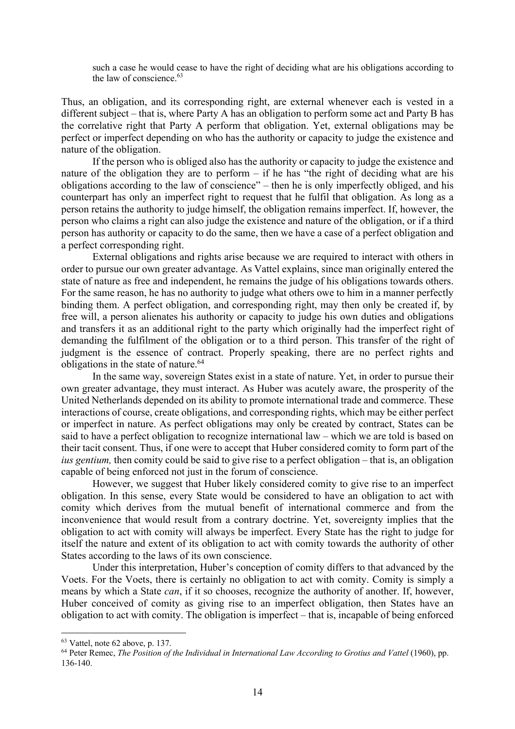such a case he would cease to have the right of deciding what are his obligations according to the law of conscience. $63$ 

Thus, an obligation, and its corresponding right, are external whenever each is vested in a different subject – that is, where Party A has an obligation to perform some act and Party B has the correlative right that Party A perform that obligation. Yet, external obligations may be perfect or imperfect depending on who has the authority or capacity to judge the existence and nature of the obligation.

If the person who is obliged also has the authority or capacity to judge the existence and nature of the obligation they are to perform – if he has "the right of deciding what are his obligations according to the law of conscience" – then he is only imperfectly obliged, and his counterpart has only an imperfect right to request that he fulfil that obligation. As long as a person retains the authority to judge himself, the obligation remains imperfect. If, however, the person who claims a right can also judge the existence and nature of the obligation, or if a third person has authority or capacity to do the same, then we have a case of a perfect obligation and a perfect corresponding right.

External obligations and rights arise because we are required to interact with others in order to pursue our own greater advantage. As Vattel explains, since man originally entered the state of nature as free and independent, he remains the judge of his obligations towards others. For the same reason, he has no authority to judge what others owe to him in a manner perfectly binding them. A perfect obligation, and corresponding right, may then only be created if, by free will, a person alienates his authority or capacity to judge his own duties and obligations and transfers it as an additional right to the party which originally had the imperfect right of demanding the fulfilment of the obligation or to a third person. This transfer of the right of judgment is the essence of contract. Properly speaking, there are no perfect rights and obligations in the state of nature.<sup>64</sup>

In the same way, sovereign States exist in a state of nature. Yet, in order to pursue their own greater advantage, they must interact. As Huber was acutely aware, the prosperity of the United Netherlands depended on its ability to promote international trade and commerce. These interactions of course, create obligations, and corresponding rights, which may be either perfect or imperfect in nature. As perfect obligations may only be created by contract, States can be said to have a perfect obligation to recognize international law – which we are told is based on their tacit consent. Thus, if one were to accept that Huber considered comity to form part of the *ius gentium,* then comity could be said to give rise to a perfect obligation – that is, an obligation capable of being enforced not just in the forum of conscience.

However, we suggest that Huber likely considered comity to give rise to an imperfect obligation. In this sense, every State would be considered to have an obligation to act with comity which derives from the mutual benefit of international commerce and from the inconvenience that would result from a contrary doctrine. Yet, sovereignty implies that the obligation to act with comity will always be imperfect. Every State has the right to judge for itself the nature and extent of its obligation to act with comity towards the authority of other States according to the laws of its own conscience.

Under this interpretation, Huber's conception of comity differs to that advanced by the Voets. For the Voets, there is certainly no obligation to act with comity. Comity is simply a means by which a State *can*, if it so chooses, recognize the authority of another. If, however, Huber conceived of comity as giving rise to an imperfect obligation, then States have an obligation to act with comity. The obligation is imperfect – that is, incapable of being enforced

 $63$  Vattel, note 62 above, p. 137.

<sup>&</sup>lt;sup>64</sup> Peter Remec, *The Position of the Individual in International Law According to Grotius and Vattel* (1960), pp. 136-140.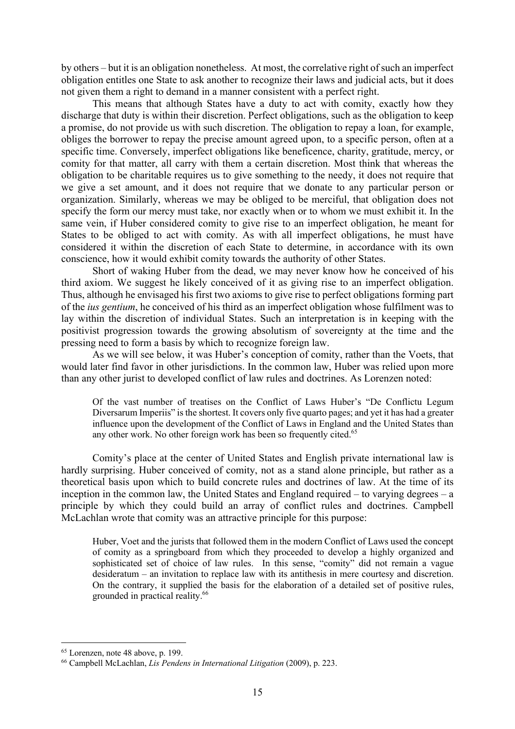by others – but it is an obligation nonetheless. At most, the correlative right of such an imperfect obligation entitles one State to ask another to recognize their laws and judicial acts, but it does not given them a right to demand in a manner consistent with a perfect right.

This means that although States have a duty to act with comity, exactly how they discharge that duty is within their discretion. Perfect obligations, such as the obligation to keep a promise, do not provide us with such discretion. The obligation to repay a loan, for example, obliges the borrower to repay the precise amount agreed upon, to a specific person, often at a specific time. Conversely, imperfect obligations like beneficence, charity, gratitude, mercy, or comity for that matter, all carry with them a certain discretion. Most think that whereas the obligation to be charitable requires us to give something to the needy, it does not require that we give a set amount, and it does not require that we donate to any particular person or organization. Similarly, whereas we may be obliged to be merciful, that obligation does not specify the form our mercy must take, nor exactly when or to whom we must exhibit it. In the same vein, if Huber considered comity to give rise to an imperfect obligation, he meant for States to be obliged to act with comity. As with all imperfect obligations, he must have considered it within the discretion of each State to determine, in accordance with its own conscience, how it would exhibit comity towards the authority of other States.

Short of waking Huber from the dead, we may never know how he conceived of his third axiom. We suggest he likely conceived of it as giving rise to an imperfect obligation. Thus, although he envisaged his first two axioms to give rise to perfect obligations forming part of the *ius gentium*, he conceived of his third as an imperfect obligation whose fulfilment was to lay within the discretion of individual States. Such an interpretation is in keeping with the positivist progression towards the growing absolutism of sovereignty at the time and the pressing need to form a basis by which to recognize foreign law.

As we will see below, it was Huber's conception of comity, rather than the Voets, that would later find favor in other jurisdictions. In the common law, Huber was relied upon more than any other jurist to developed conflict of law rules and doctrines. As Lorenzen noted:

Of the vast number of treatises on the Conflict of Laws Huber's "De Conflictu Legum Diversarum Imperiis" is the shortest. It covers only five quarto pages; and yet it has had a greater influence upon the development of the Conflict of Laws in England and the United States than any other work. No other foreign work has been so frequently cited.<sup>65</sup>

Comity's place at the center of United States and English private international law is hardly surprising. Huber conceived of comity, not as a stand alone principle, but rather as a theoretical basis upon which to build concrete rules and doctrines of law. At the time of its inception in the common law, the United States and England required – to varying degrees – a principle by which they could build an array of conflict rules and doctrines. Campbell McLachlan wrote that comity was an attractive principle for this purpose:

Huber, Voet and the jurists that followed them in the modern Conflict of Laws used the concept of comity as a springboard from which they proceeded to develop a highly organized and sophisticated set of choice of law rules. In this sense, "comity" did not remain a vague desideratum – an invitation to replace law with its antithesis in mere courtesy and discretion. On the contrary, it supplied the basis for the elaboration of a detailed set of positive rules, grounded in practical reality.<sup>66</sup>

<sup>65</sup> Lorenzen, note 48 above, p. 199.

<sup>66</sup> Campbell McLachlan, *Lis Pendens in International Litigation* (2009), p. 223.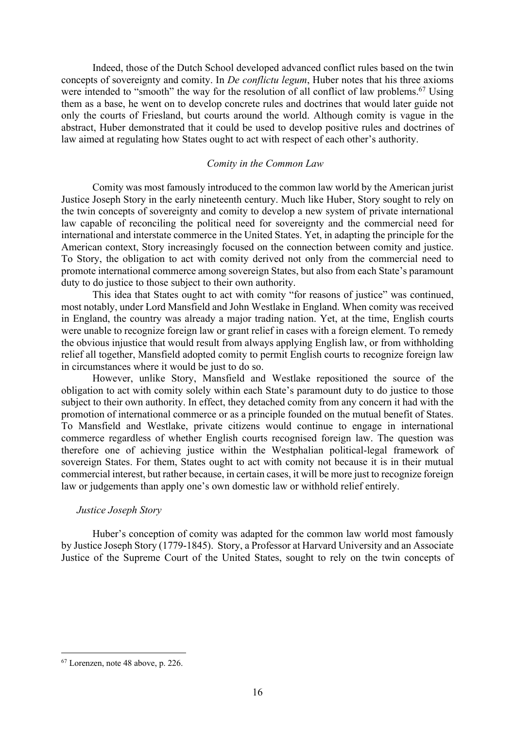Indeed, those of the Dutch School developed advanced conflict rules based on the twin concepts of sovereignty and comity. In *De conflictu legum*, Huber notes that his three axioms were intended to "smooth" the way for the resolution of all conflict of law problems.<sup>67</sup> Using them as a base, he went on to develop concrete rules and doctrines that would later guide not only the courts of Friesland, but courts around the world. Although comity is vague in the abstract, Huber demonstrated that it could be used to develop positive rules and doctrines of law aimed at regulating how States ought to act with respect of each other's authority.

## *Comity in the Common Law*

Comity was most famously introduced to the common law world by the American jurist Justice Joseph Story in the early nineteenth century. Much like Huber, Story sought to rely on the twin concepts of sovereignty and comity to develop a new system of private international law capable of reconciling the political need for sovereignty and the commercial need for international and interstate commerce in the United States. Yet, in adapting the principle for the American context, Story increasingly focused on the connection between comity and justice. To Story, the obligation to act with comity derived not only from the commercial need to promote international commerce among sovereign States, but also from each State's paramount duty to do justice to those subject to their own authority.

This idea that States ought to act with comity "for reasons of justice" was continued, most notably, under Lord Mansfield and John Westlake in England. When comity was received in England, the country was already a major trading nation. Yet, at the time, English courts were unable to recognize foreign law or grant relief in cases with a foreign element. To remedy the obvious injustice that would result from always applying English law, or from withholding relief all together, Mansfield adopted comity to permit English courts to recognize foreign law in circumstances where it would be just to do so.

However, unlike Story, Mansfield and Westlake repositioned the source of the obligation to act with comity solely within each State's paramount duty to do justice to those subject to their own authority. In effect, they detached comity from any concern it had with the promotion of international commerce or as a principle founded on the mutual benefit of States. To Mansfield and Westlake, private citizens would continue to engage in international commerce regardless of whether English courts recognised foreign law. The question was therefore one of achieving justice within the Westphalian political-legal framework of sovereign States. For them, States ought to act with comity not because it is in their mutual commercial interest, but rather because, in certain cases, it will be more just to recognize foreign law or judgements than apply one's own domestic law or withhold relief entirely.

#### *Justice Joseph Story*

Huber's conception of comity was adapted for the common law world most famously by Justice Joseph Story (1779-1845). Story, a Professor at Harvard University and an Associate Justice of the Supreme Court of the United States, sought to rely on the twin concepts of

<sup>67</sup> Lorenzen, note 48 above, p. 226.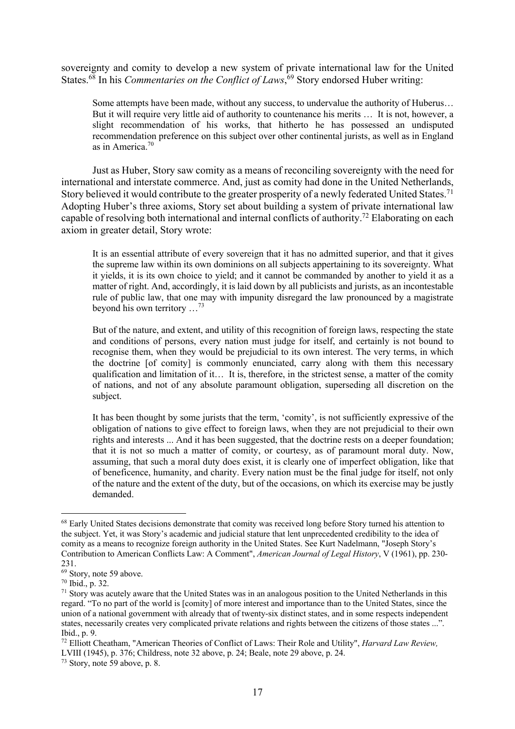sovereignty and comity to develop a new system of private international law for the United States.<sup>68</sup> In his *Commentaries on the Conflict of Laws*,<sup>69</sup> Story endorsed Huber writing:

Some attempts have been made, without any success, to undervalue the authority of Huberus… But it will require very little aid of authority to countenance his merits … It is not, however, a slight recommendation of his works, that hitherto he has possessed an undisputed recommendation preference on this subject over other continental jurists, as well as in England as in America.70

Just as Huber, Story saw comity as a means of reconciling sovereignty with the need for international and interstate commerce. And, just as comity had done in the United Netherlands, Story believed it would contribute to the greater prosperity of a newly federated United States.<sup>71</sup> Adopting Huber's three axioms, Story set about building a system of private international law capable of resolving both international and internal conflicts of authority.<sup>72</sup> Elaborating on each axiom in greater detail, Story wrote:

It is an essential attribute of every sovereign that it has no admitted superior, and that it gives the supreme law within its own dominions on all subjects appertaining to its sovereignty. What it yields, it is its own choice to yield; and it cannot be commanded by another to yield it as a matter of right. And, accordingly, it is laid down by all publicists and jurists, as an incontestable rule of public law, that one may with impunity disregard the law pronounced by a magistrate beyond his own territory  $\ldots^{73}$ 

But of the nature, and extent, and utility of this recognition of foreign laws, respecting the state and conditions of persons, every nation must judge for itself, and certainly is not bound to recognise them, when they would be prejudicial to its own interest. The very terms, in which the doctrine [of comity] is commonly enunciated, carry along with them this necessary qualification and limitation of it… It is, therefore, in the strictest sense, a matter of the comity of nations, and not of any absolute paramount obligation, superseding all discretion on the subject.

It has been thought by some jurists that the term, 'comity', is not sufficiently expressive of the obligation of nations to give effect to foreign laws, when they are not prejudicial to their own rights and interests ... And it has been suggested, that the doctrine rests on a deeper foundation; that it is not so much a matter of comity, or courtesy, as of paramount moral duty. Now, assuming, that such a moral duty does exist, it is clearly one of imperfect obligation, like that of beneficence, humanity, and charity. Every nation must be the final judge for itself, not only of the nature and the extent of the duty, but of the occasions, on which its exercise may be justly demanded.

<sup>&</sup>lt;sup>68</sup> Early United States decisions demonstrate that comity was received long before Story turned his attention to the subject. Yet, it was Story's academic and judicial stature that lent unprecedented credibility to the idea of comity as a means to recognize foreign authority in the United States. See Kurt Nadelmann, "Joseph Story's Contribution to American Conflicts Law: A Comment", *American Journal of Legal History*, V (1961), pp. 230- 231.

<sup>69</sup> Story, note 59 above.

<sup>70</sup> Ibid., p. 32.

 $71$  Story was acutely aware that the United States was in an analogous position to the United Netherlands in this regard. "To no part of the world is [comity] of more interest and importance than to the United States, since the union of a national government with already that of twenty-six distinct states, and in some respects independent states, necessarily creates very complicated private relations and rights between the citizens of those states ...". Ibid., p. 9.

<sup>72</sup> Elliott Cheatham, "American Theories of Conflict of Laws: Their Role and Utility", *Harvard Law Review,* LVIII (1945), p. 376; Childress, note 32 above, p. 24; Beale, note 29 above, p. 24.

<sup>73</sup> Story, note 59 above, p. 8.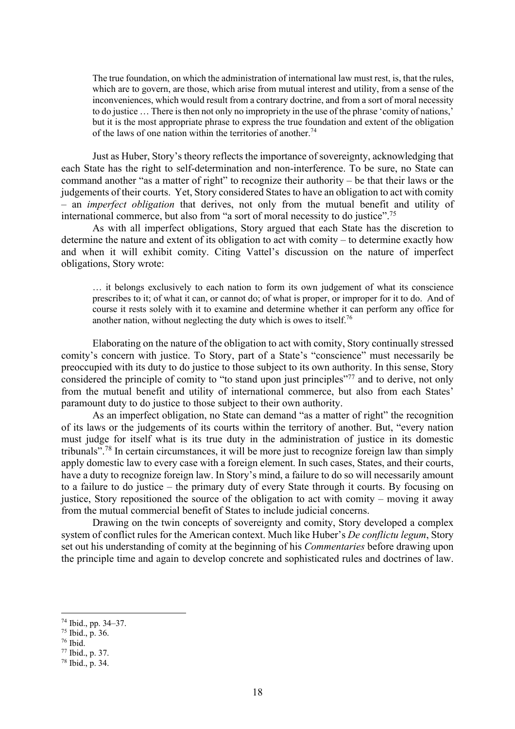The true foundation, on which the administration of international law must rest, is, that the rules, which are to govern, are those, which arise from mutual interest and utility, from a sense of the inconveniences, which would result from a contrary doctrine, and from a sort of moral necessity to do justice … There is then not only no impropriety in the use of the phrase 'comity of nations,' but it is the most appropriate phrase to express the true foundation and extent of the obligation of the laws of one nation within the territories of another.<sup>74</sup>

Just as Huber, Story's theory reflects the importance of sovereignty, acknowledging that each State has the right to self-determination and non-interference. To be sure, no State can command another "as a matter of right" to recognize their authority – be that their laws or the judgements of their courts. Yet, Story considered States to have an obligation to act with comity – an *imperfect obligation* that derives, not only from the mutual benefit and utility of international commerce, but also from "a sort of moral necessity to do justice".<sup>75</sup>

As with all imperfect obligations, Story argued that each State has the discretion to determine the nature and extent of its obligation to act with comity – to determine exactly how and when it will exhibit comity. Citing Vattel's discussion on the nature of imperfect obligations, Story wrote:

… it belongs exclusively to each nation to form its own judgement of what its conscience prescribes to it; of what it can, or cannot do; of what is proper, or improper for it to do. And of course it rests solely with it to examine and determine whether it can perform any office for another nation, without neglecting the duty which is owes to itself.<sup>76</sup>

Elaborating on the nature of the obligation to act with comity, Story continually stressed comity's concern with justice. To Story, part of a State's "conscience" must necessarily be preoccupied with its duty to do justice to those subject to its own authority. In this sense, Story considered the principle of comity to "to stand upon just principles"<sup>77</sup> and to derive, not only from the mutual benefit and utility of international commerce, but also from each States' paramount duty to do justice to those subject to their own authority.

As an imperfect obligation, no State can demand "as a matter of right" the recognition of its laws or the judgements of its courts within the territory of another. But, "every nation must judge for itself what is its true duty in the administration of justice in its domestic tribunals".<sup>78</sup> In certain circumstances, it will be more just to recognize foreign law than simply apply domestic law to every case with a foreign element. In such cases, States, and their courts, have a duty to recognize foreign law. In Story's mind, a failure to do so will necessarily amount to a failure to do justice – the primary duty of every State through it courts. By focusing on justice, Story repositioned the source of the obligation to act with comity – moving it away from the mutual commercial benefit of States to include judicial concerns.

Drawing on the twin concepts of sovereignty and comity, Story developed a complex system of conflict rules for the American context. Much like Huber's *De conflictu legum*, Story set out his understanding of comity at the beginning of his *Commentaries* before drawing upon the principle time and again to develop concrete and sophisticated rules and doctrines of law.

<sup>74</sup> Ibid., pp. 34–37.

 $75$  Ibid., p. 36.

 $76$  Ibid.

<sup>77</sup> Ibid., p. 37.

<sup>78</sup> Ibid., p. 34.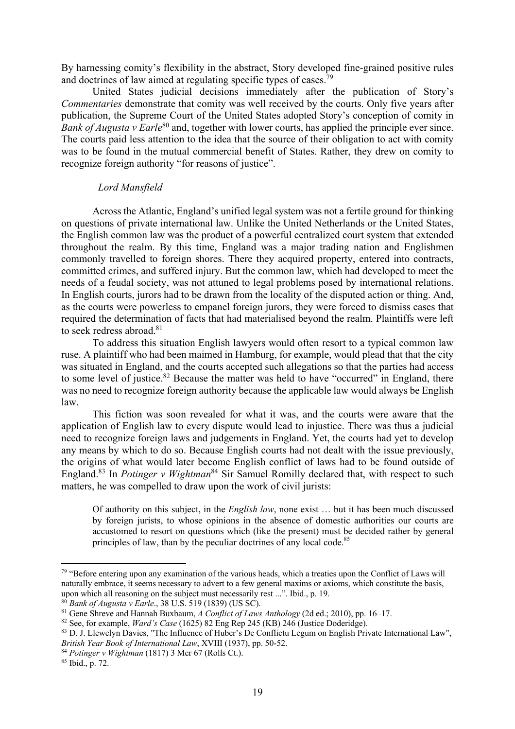By harnessing comity's flexibility in the abstract, Story developed fine-grained positive rules and doctrines of law aimed at regulating specific types of cases.<sup>79</sup>

United States judicial decisions immediately after the publication of Story's *Commentaries* demonstrate that comity was well received by the courts. Only five years after publication, the Supreme Court of the United States adopted Story's conception of comity in *Bank of Augusta v Earle*<sup>80</sup> and, together with lower courts, has applied the principle ever since. The courts paid less attention to the idea that the source of their obligation to act with comity was to be found in the mutual commercial benefit of States. Rather, they drew on comity to recognize foreign authority "for reasons of justice".

### *Lord Mansfield*

Across the Atlantic, England's unified legal system was not a fertile ground for thinking on questions of private international law. Unlike the United Netherlands or the United States, the English common law was the product of a powerful centralized court system that extended throughout the realm. By this time, England was a major trading nation and Englishmen commonly travelled to foreign shores. There they acquired property, entered into contracts, committed crimes, and suffered injury. But the common law, which had developed to meet the needs of a feudal society, was not attuned to legal problems posed by international relations. In English courts, jurors had to be drawn from the locality of the disputed action or thing. And, as the courts were powerless to empanel foreign jurors, they were forced to dismiss cases that required the determination of facts that had materialised beyond the realm. Plaintiffs were left to seek redress abroad.<sup>81</sup>

To address this situation English lawyers would often resort to a typical common law ruse. A plaintiff who had been maimed in Hamburg, for example, would plead that that the city was situated in England, and the courts accepted such allegations so that the parties had access to some level of justice.<sup>82</sup> Because the matter was held to have "occurred" in England, there was no need to recognize foreign authority because the applicable law would always be English law.

This fiction was soon revealed for what it was, and the courts were aware that the application of English law to every dispute would lead to injustice. There was thus a judicial need to recognize foreign laws and judgements in England. Yet, the courts had yet to develop any means by which to do so. Because English courts had not dealt with the issue previously, the origins of what would later become English conflict of laws had to be found outside of England.<sup>83</sup> In *Potinger v Wightman*<sup>84</sup> Sir Samuel Romilly declared that, with respect to such matters, he was compelled to draw upon the work of civil jurists:

Of authority on this subject, in the *English law*, none exist … but it has been much discussed by foreign jurists, to whose opinions in the absence of domestic authorities our courts are accustomed to resort on questions which (like the present) must be decided rather by general principles of law, than by the peculiar doctrines of any local code.<sup>85</sup>

<sup>&</sup>lt;sup>79</sup> "Before entering upon any examination of the various heads, which a treaties upon the Conflict of Laws will naturally embrace, it seems necessary to advert to a few general maxims or axioms, which constitute the basis, upon which all reasoning on the subject must necessarily rest ...". Ibid., p. 19.

<sup>80</sup> *Bank of Augusta v Earle*., 38 U.S. 519 (1839) (US SC).

<sup>81</sup> Gene Shreve and Hannah Buxbaum, *A Conflict of Laws Anthology* (2d ed.; 2010), pp. 16–17.

<sup>82</sup> See, for example, *Ward's Case* (1625) 82 Eng Rep 245 (KB) 246 (Justice Doderidge).

<sup>83</sup> D. J. Llewelyn Davies, "The Influence of Huber's De Conflictu Legum on English Private International Law", *British Year Book of International Law*, XVIII (1937), pp. 50-52.

<sup>84</sup> *Potinger v Wightman* (1817) 3 Mer 67 (Rolls Ct.).

<sup>85</sup> Ibid., p. 72.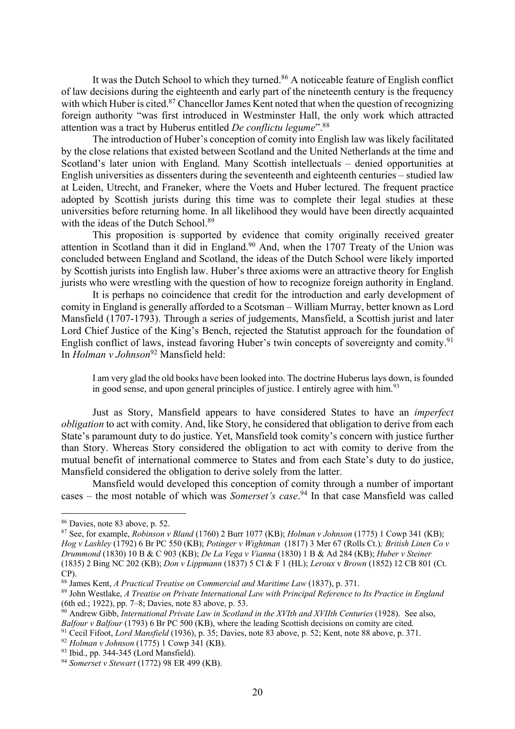It was the Dutch School to which they turned.<sup>86</sup> A noticeable feature of English conflict of law decisions during the eighteenth and early part of the nineteenth century is the frequency with which Huber is cited.<sup>87</sup> Chancellor James Kent noted that when the question of recognizing foreign authority "was first introduced in Westminster Hall, the only work which attracted attention was a tract by Huberus entitled *De conflictu legume*". 88

The introduction of Huber's conception of comity into English law was likely facilitated by the close relations that existed between Scotland and the United Netherlands at the time and Scotland's later union with England. Many Scottish intellectuals – denied opportunities at English universities as dissenters during the seventeenth and eighteenth centuries – studied law at Leiden, Utrecht, and Franeker, where the Voets and Huber lectured. The frequent practice adopted by Scottish jurists during this time was to complete their legal studies at these universities before returning home. In all likelihood they would have been directly acquainted with the ideas of the Dutch School.<sup>89</sup>

This proposition is supported by evidence that comity originally received greater attention in Scotland than it did in England.<sup>90</sup> And, when the 1707 Treaty of the Union was concluded between England and Scotland, the ideas of the Dutch School were likely imported by Scottish jurists into English law. Huber's three axioms were an attractive theory for English jurists who were wrestling with the question of how to recognize foreign authority in England.

It is perhaps no coincidence that credit for the introduction and early development of comity in England is generally afforded to a Scotsman – William Murray, better known as Lord Mansfield (1707-1793). Through a series of judgements, Mansfield, a Scottish jurist and later Lord Chief Justice of the King's Bench, rejected the Statutist approach for the foundation of English conflict of laws, instead favoring Huber's twin concepts of sovereignty and comity.<sup>91</sup> In *Holman v Johnson*<sup>92</sup> Mansfield held:

I am very glad the old books have been looked into. The doctrine Huberus lays down, is founded in good sense, and upon general principles of justice. I entirely agree with him.<sup>93</sup>

Just as Story, Mansfield appears to have considered States to have an *imperfect obligation* to act with comity. And, like Story, he considered that obligation to derive from each State's paramount duty to do justice. Yet, Mansfield took comity's concern with justice further than Story. Whereas Story considered the obligation to act with comity to derive from the mutual benefit of international commerce to States and from each State's duty to do justice, Mansfield considered the obligation to derive solely from the latter.

Mansfield would developed this conception of comity through a number of important cases – the most notable of which was *Somerset's case*. <sup>94</sup> In that case Mansfield was called

<sup>86</sup> Davies, note 83 above, p. 52.

<sup>87</sup> See, for example, *Robinson v Bland* (1760) 2 Burr 1077 (KB); *Holman v Johnson* (1775) 1 Cowp 341 (KB); *Hog v Lashley* (1792) 6 Br PC 550 (KB); *Potinger v Wightman* (1817) 3 Mer 67 (Rolls Ct.)*; British Linen Co v Drummond* (1830) 10 B & C 903 (KB); *De La Vega v Vianna* (1830) 1 B & Ad 284 (KB); *Huber v Steiner*  (1835) 2 Bing NC 202 (KB); *Don v Lippmann* (1837) 5 Cl & F 1 (HL); *Leroux* v *Brown* (1852) 12 CB 801 (Ct. CP).

<sup>88</sup> James Kent, *A Practical Treatise on Commercial and Maritime Law* (1837), p. 371.

<sup>89</sup> John Westlake, *A Treatise on Private International Law with Principal Reference to Its Practice in England* (6th ed.; 1922), pp. 7–8; Davies, note 83 above, p. 53.

<sup>90</sup> Andrew Gibb, *International Private Law in Scotland in the XVIth and XVIIth Centuries* (1928). See also, *Balfour v Balfour* (1793) 6 Br PC 500 (KB), where the leading Scottish decisions on comity are cited.

<sup>91</sup> Cecil Fifoot, *Lord Mansfield* (1936), p. 35; Davies, note 83 above, p. 52; Kent, note 88 above, p. 371.

<sup>92</sup> *Holman v Johnson* (1775) 1 Cowp 341 (KB).

<sup>93</sup> Ibid., pp. 344-345 (Lord Mansfield).

<sup>94</sup> *Somerset v Stewart* (1772) 98 ER 499 (KB).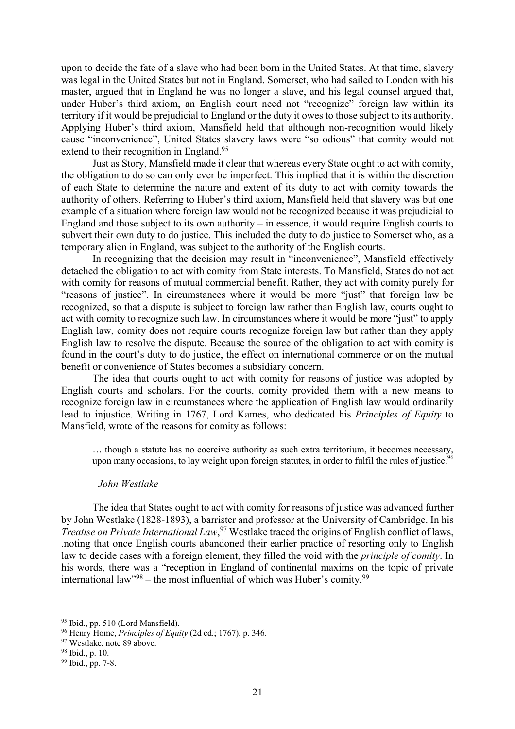upon to decide the fate of a slave who had been born in the United States. At that time, slavery was legal in the United States but not in England. Somerset, who had sailed to London with his master, argued that in England he was no longer a slave, and his legal counsel argued that, under Huber's third axiom, an English court need not "recognize" foreign law within its territory if it would be prejudicial to England or the duty it owes to those subject to its authority. Applying Huber's third axiom, Mansfield held that although non-recognition would likely cause "inconvenience", United States slavery laws were "so odious" that comity would not extend to their recognition in England.<sup>95</sup>

Just as Story, Mansfield made it clear that whereas every State ought to act with comity, the obligation to do so can only ever be imperfect. This implied that it is within the discretion of each State to determine the nature and extent of its duty to act with comity towards the authority of others. Referring to Huber's third axiom, Mansfield held that slavery was but one example of a situation where foreign law would not be recognized because it was prejudicial to England and those subject to its own authority – in essence, it would require English courts to subvert their own duty to do justice. This included the duty to do justice to Somerset who, as a temporary alien in England, was subject to the authority of the English courts.

In recognizing that the decision may result in "inconvenience", Mansfield effectively detached the obligation to act with comity from State interests. To Mansfield, States do not act with comity for reasons of mutual commercial benefit. Rather, they act with comity purely for "reasons of justice". In circumstances where it would be more "just" that foreign law be recognized, so that a dispute is subject to foreign law rather than English law, courts ought to act with comity to recognize such law. In circumstances where it would be more "just" to apply English law, comity does not require courts recognize foreign law but rather than they apply English law to resolve the dispute. Because the source of the obligation to act with comity is found in the court's duty to do justice, the effect on international commerce or on the mutual benefit or convenience of States becomes a subsidiary concern.

The idea that courts ought to act with comity for reasons of justice was adopted by English courts and scholars. For the courts, comity provided them with a new means to recognize foreign law in circumstances where the application of English law would ordinarily lead to injustice. Writing in 1767, Lord Kames, who dedicated his *Principles of Equity* to Mansfield, wrote of the reasons for comity as follows:

… though a statute has no coercive authority as such extra territorium, it becomes necessary, upon many occasions, to lay weight upon foreign statutes, in order to fulfil the rules of justice. <sup>96</sup>

### *John Westlake*

The idea that States ought to act with comity for reasons of justice was advanced further by John Westlake (1828-1893), a barrister and professor at the University of Cambridge. In his *Treatise on Private International Law*, <sup>97</sup> Westlake traced the origins of English conflict of laws, .noting that once English courts abandoned their earlier practice of resorting only to English law to decide cases with a foreign element, they filled the void with the *principle of comity*. In his words, there was a "reception in England of continental maxims on the topic of private international law"<sup>98</sup> – the most influential of which was Huber's comity.<sup>99</sup>

<sup>&</sup>lt;sup>95</sup> Ibid., pp. 510 (Lord Mansfield).

<sup>96</sup> Henry Home, *Principles of Equity* (2d ed.; 1767), p. 346.

<sup>&</sup>lt;sup>97</sup> Westlake, note 89 above.

<sup>98</sup> Ibid., p. 10.

<sup>99</sup> Ibid., pp. 7-8.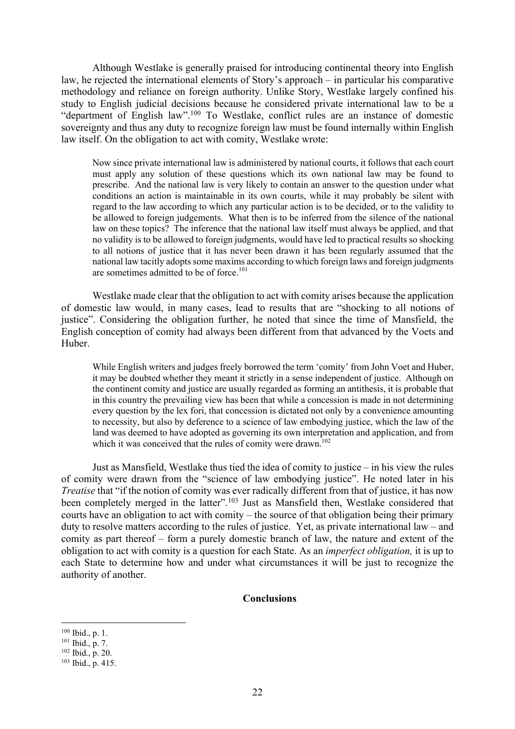Although Westlake is generally praised for introducing continental theory into English law, he rejected the international elements of Story's approach – in particular his comparative methodology and reliance on foreign authority. Unlike Story, Westlake largely confined his study to English judicial decisions because he considered private international law to be a "department of English law".<sup>100</sup> To Westlake, conflict rules are an instance of domestic sovereignty and thus any duty to recognize foreign law must be found internally within English law itself. On the obligation to act with comity, Westlake wrote:

Now since private international law is administered by national courts, it follows that each court must apply any solution of these questions which its own national law may be found to prescribe. And the national law is very likely to contain an answer to the question under what conditions an action is maintainable in its own courts, while it may probably be silent with regard to the law according to which any particular action is to be decided, or to the validity to be allowed to foreign judgements. What then is to be inferred from the silence of the national law on these topics? The inference that the national law itself must always be applied, and that no validity is to be allowed to foreign judgments, would have led to practical results so shocking to all notions of justice that it has never been drawn it has been regularly assumed that the national law tacitly adopts some maxims according to which foreign laws and foreign judgments are sometimes admitted to be of force.<sup>101</sup>

Westlake made clear that the obligation to act with comity arises because the application of domestic law would, in many cases, lead to results that are "shocking to all notions of justice". Considering the obligation further, he noted that since the time of Mansfield, the English conception of comity had always been different from that advanced by the Voets and Huber.

While English writers and judges freely borrowed the term 'comity' from John Voet and Huber, it may be doubted whether they meant it strictly in a sense independent of justice. Although on the continent comity and justice are usually regarded as forming an antithesis, it is probable that in this country the prevailing view has been that while a concession is made in not determining every question by the lex fori, that concession is dictated not only by a convenience amounting to necessity, but also by deference to a science of law embodying justice, which the law of the land was deemed to have adopted as governing its own interpretation and application, and from which it was conceived that the rules of comity were drawn.<sup>102</sup>

Just as Mansfield, Westlake thus tied the idea of comity to justice – in his view the rules of comity were drawn from the "science of law embodying justice". He noted later in his *Treatise* that "if the notion of comity was ever radically different from that of justice, it has now been completely merged in the latter".<sup>103</sup> Just as Mansfield then, Westlake considered that courts have an obligation to act with comity – the source of that obligation being their primary duty to resolve matters according to the rules of justice. Yet, as private international law – and comity as part thereof – form a purely domestic branch of law, the nature and extent of the obligation to act with comity is a question for each State. As an *imperfect obligation,* it is up to each State to determine how and under what circumstances it will be just to recognize the authority of another.

### **Conclusions**

<sup>100</sup> Ibid., p. 1.

 $101$  Ibid., p. 7.

 $102$  Ibid., p. 20.

<sup>103</sup> Ibid., p. 415.